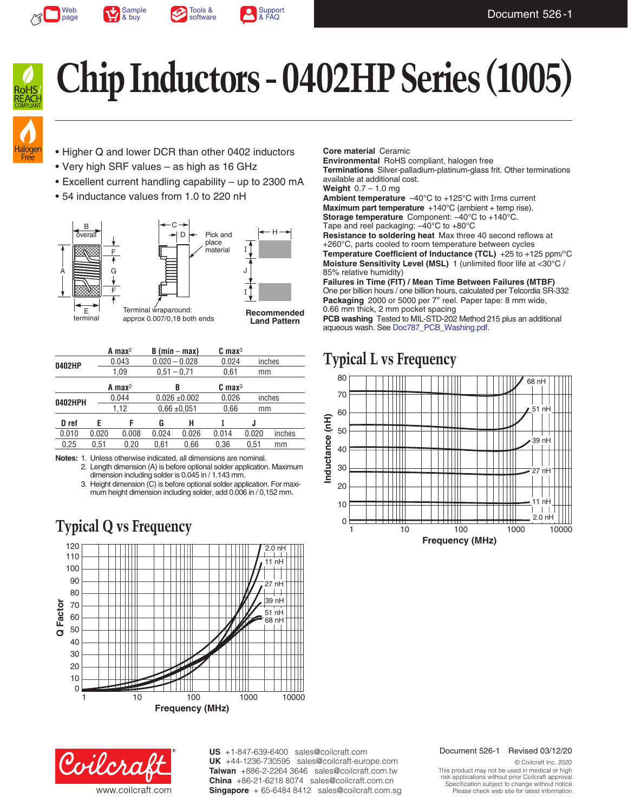







**Chip Inductors - 0402HP Series (1005)**



- Higher Q and lower DCR than other 0402 inductors
- Very high SRF values as high as 16 GHz
- Excellent current handling capability up to 2300 mA
- 54 inductance values from 1.0 to 220 nH



|         |       | A max <sup>2</sup>        | $B (min - max)$   |                      | $C$ max $3$ |       |        |  |
|---------|-------|---------------------------|-------------------|----------------------|-------------|-------|--------|--|
| 0402HP  |       | 0.043                     |                   | $0.020 - 0.028$      | 0.024       |       | inches |  |
|         | 1,09  |                           | $0.51 - 0.71$     |                      | 0,61        |       | mm     |  |
|         |       | $A$ max <sup>2</sup><br>В |                   | $C$ max <sup>3</sup> |             |       |        |  |
| 0402HPH | 0.044 |                           | $0.026 \pm 0.002$ |                      | 0.026       |       | inches |  |
|         | 1,12  |                           | $0.66 \pm 0.051$  |                      | 0.66        |       | mm     |  |
| D ref   | F     | F                         | G                 | н                    |             | J     |        |  |
| 0.010   | 0.020 | 0.008                     | 0.024             | 0.026                | 0.014       | 0.020 | inches |  |
| 0.25    | 0.51  | 0.20                      | 0.61              | 0.66                 | 0.36        | 0.51  | mm     |  |

**Notes:** 1. Unless otherwise indicated, all dimensions are nominal. 2. Length dimension (A) is before optional solder application. Maximum dimension including solder is 0.045 in / 1.143 mm.

3. Height dimension (C) is before optional solder application. For maximum height dimension including solder, add 0.006 in / 0,152 mm.

## **Typical Q vs Frequency**



Coilcra www.coilcraft.com **US** +1-847-639-6400 sales@coilcraft.com +44-1236-730595 sales@coilcraft-europe.com **UK** +886-2-2264 3646 sales@coilcraft.com.tw **Taiwan** +86-21-6218 8074 sales@coilcraft.com.cn **China** Singapore + 65-6484 8412 sales@coilcraft.com.sg

#### **Core material** Ceramic

**Environmental** RoHS compliant, halogen free **Terminations** Silver-palladium-platinum-glass frit. Other terminations available at additional cost.

**Weight** 0.7 – 1.0 mg

**Ambient temperature** –40°C to +125°C with Irms current **Maximum part temperature** +140°C (ambient + temp rise). **Storage temperature** Component:  $-40^{\circ}$ C to  $+140^{\circ}$ C. Tape and reel packaging: –40°C to +80°C

**Resistance to soldering heat** Max three 40 second reflows at +260°C, parts cooled to room temperature between cycles **Temperature Coefficient of Inductance (TCL)** +25 to +125 ppm/°C **Moisture Sensitivity Level (MSL)** 1 (unlimited floor life at <30°C / 85% relative humidity)

**Failures in Time (FIT) / Mean Time Between Failures (MTBF)** One per billion hours / one billion hours, calculated per Telcordia SR-332 **Packaging** 2000 or 5000 per 7″ reel. Paper tape: 8 mm wide, 0.66 mm thick, 2 mm pocket spacing

**PCB washing** Tested to MIL-STD-202 Method 215 plus an additional aqueous wash. See [Doc787\\_PCB\\_Washing.pdf](http://www.coilcraft.com/pdfs/Doc787_PCB_Washing.pdf).

### **Typical L vs Frequency**



Document 526-1 Revised 03/12/20

© Coilcraft Inc. 2020 This product may not be used in medical or high risk applications without prior Coilcraft approval. Specification subject to change without notice. Please check web site for latest information.